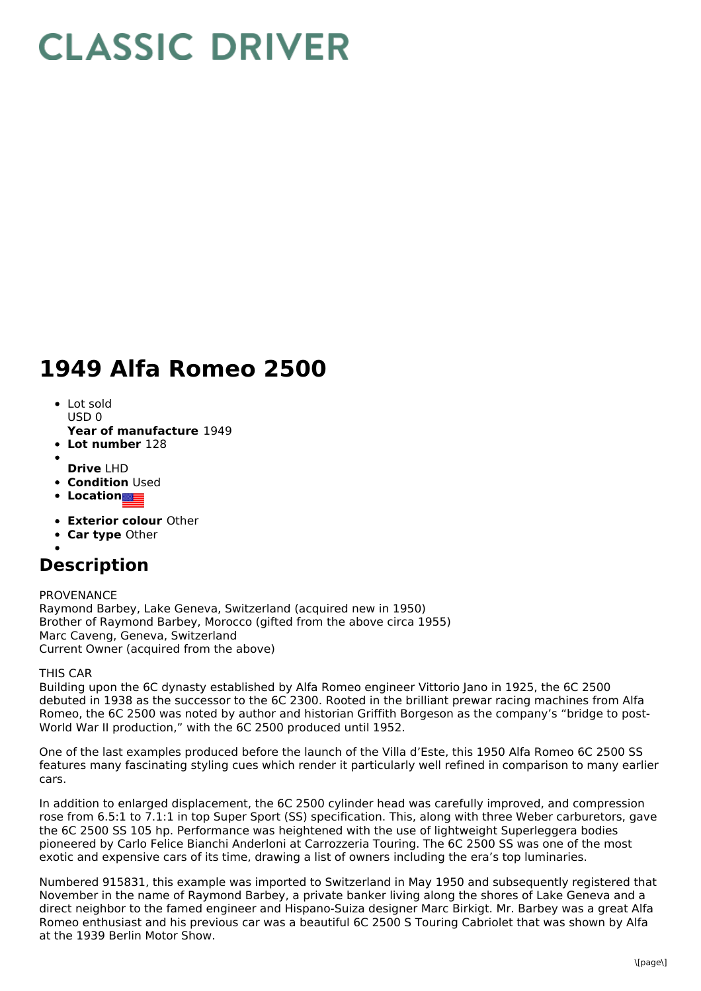# **CLASSIC DRIVER**

## **1949 Alfa Romeo 2500**

- Lot sold  $USD0$
- **Year of manufacture** 1949
- **Lot number** 128
- **Drive** LHD
- **Condition Used**
- 
- **Location**
- **Exterior colour** Other
- **Car type** Other
- 

## **Description**

#### PROVENANCE Raymond Barbey, Lake Geneva, Switzerland (acquired new in 1950) Brother of Raymond Barbey, Morocco (gifted from the above circa 1955) Marc Caveng, Geneva, Switzerland Current Owner (acquired from the above)

### THIS CAR

Building upon the 6C dynasty established by Alfa Romeo engineer Vittorio Jano in 1925, the 6C 2500 debuted in 1938 as the successor to the 6C 2300. Rooted in the brilliant prewar racing machines from Alfa Romeo, the 6C 2500 was noted by author and historian Griffith Borgeson as the company's "bridge to post- World War II production," with the 6C 2500 produced until 1952.

One of the last examples produced before the launch of the Villa d'Este, this 1950 Alfa Romeo 6C 2500 SS features many fascinating styling cues which render it particularly well refined in comparison to many earlier cars.

In addition to enlarged displacement, the 6C 2500 cylinder head was carefully improved, and compression rose from 6.5:1 to 7.1:1 in top Super Sport (SS) specification. This, along with three Weber carburetors, gave the 6C 2500 SS 105 hp. Performance was heightened with the use of lightweight Superleggera bodies pioneered by Carlo Felice Bianchi Anderloni at Carrozzeria Touring. The 6C 2500 SS was one of the most exotic and expensive cars of its time, drawing a list of owners including the era's top luminaries.

Numbered 915831, this example was imported to Switzerland in May 1950 and subsequently registered that November in the name of Raymond Barbey, a private banker living along the shores of Lake Geneva and a direct neighbor to the famed engineer and Hispano-Suiza designer Marc Birkigt. Mr. Barbey was a great Alfa Romeo enthusiast and his previous car was a beautiful 6C 2500 S Touring Cabriolet that was shown by Alfa at the 1939 Berlin Motor Show.